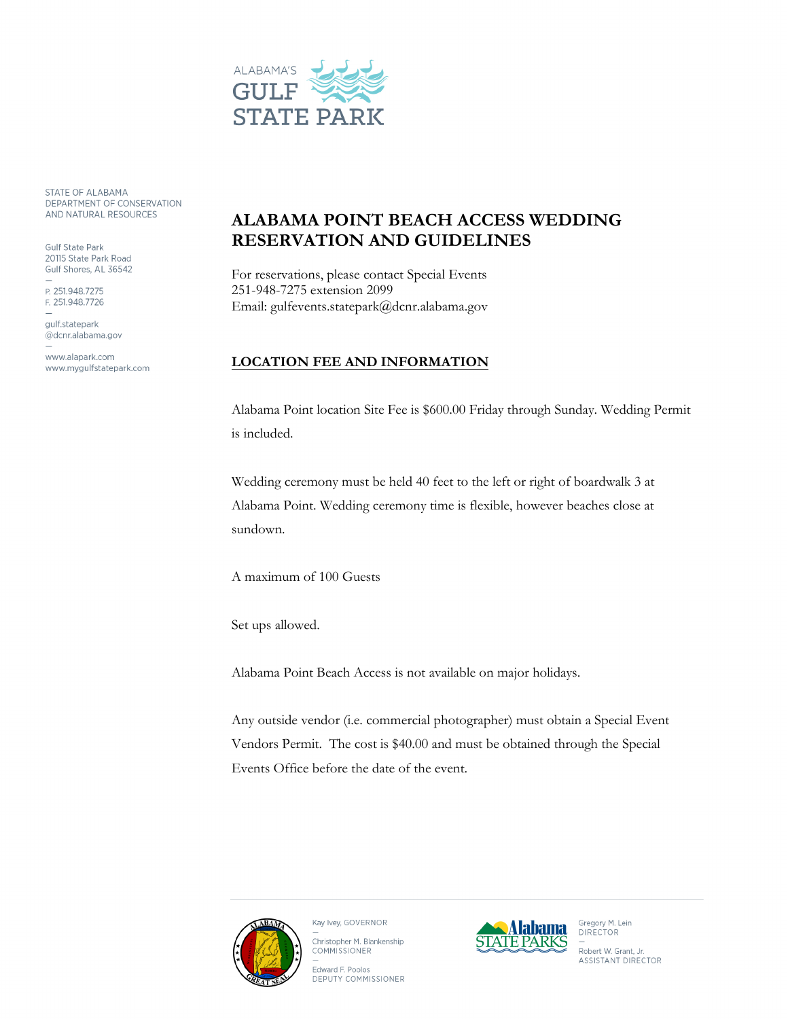

STATE OF ALABAMA DEPARTMENT OF CONSERVATION AND NATURAL RESOURCES

**Gulf State Park** 20115 State Park Road Gulf Shores, AL 36542

P. 251.948.7275 F. 251.948.7726

qulf.statepark @dcnr.alabama.gov

www.alapark.com www.mygulfstatepark.com

## **ALABAMA POINT BEACH ACCESS WEDDING RESERVATION AND GUIDELINES**

For reservations, please contact Special Events 251-948-7275 extension 2099 Email: gulfevents.statepark@dcnr.alabama.gov

## **LOCATION FEE AND INFORMATION**

Alabama Point location Site Fee is \$600.00 Friday through Sunday. Wedding Permit is included.

Wedding ceremony must be held 40 feet to the left or right of boardwalk 3 at Alabama Point. Wedding ceremony time is flexible, however beaches close at sundown.

A maximum of 100 Guests

Set ups allowed.

Alabama Point Beach Access is not available on major holidays.

Any outside vendor (i.e. commercial photographer) must obtain a Special Event Vendors Permit. The cost is \$40.00 and must be obtained through the Special Events Office before the date of the event.



Kay Ivey, GOVERNOR Christopher M. Blankenship COMMISSIONER

Edward F. Poolos DEPUTY COMMISSIONER



Gregory M. Lein<br>DIRECTOR Robert W. Grant, Jr. ASSISTANT DIRECTOR